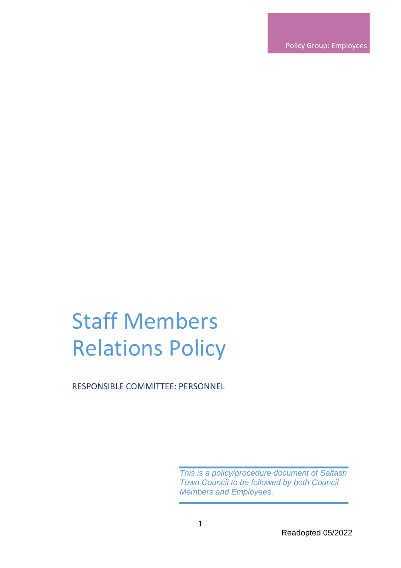Policy Group: Employees

# Staff Members Relations Policy

RESPONSIBLE COMMITTEE: PERSONNEL

*This is a policy/procedure document of Saltash Town Council to be followed by both Council Members and Employees.*

Readopted 05/2022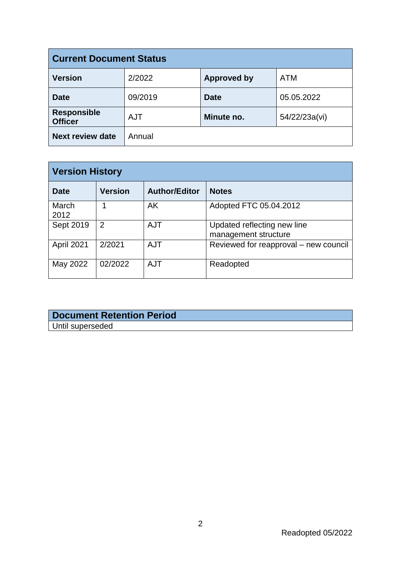| <b>Current Document Status</b>       |            |                    |               |  |
|--------------------------------------|------------|--------------------|---------------|--|
| <b>Version</b>                       | 2/2022     | <b>Approved by</b> | <b>ATM</b>    |  |
| <b>Date</b>                          | 09/2019    | <b>Date</b>        | 05.05.2022    |  |
| <b>Responsible</b><br><b>Officer</b> | <b>AJT</b> | Minute no.         | 54/22/23a(vi) |  |
| <b>Next review date</b>              | Annual     |                    |               |  |

| <b>Version History</b> |                |                      |                                                     |  |
|------------------------|----------------|----------------------|-----------------------------------------------------|--|
| <b>Date</b>            | <b>Version</b> | <b>Author/Editor</b> | <b>Notes</b>                                        |  |
| March<br>2012          |                | AK                   | Adopted FTC 05.04.2012                              |  |
| Sept 2019              | 2              | <b>AJT</b>           | Updated reflecting new line<br>management structure |  |
| April 2021             | 2/2021         | <b>AJT</b>           | Reviewed for reapproval – new council               |  |
| May 2022               | 02/2022        | <b>AJT</b>           | Readopted                                           |  |

### **Document Retention Period** Until superseded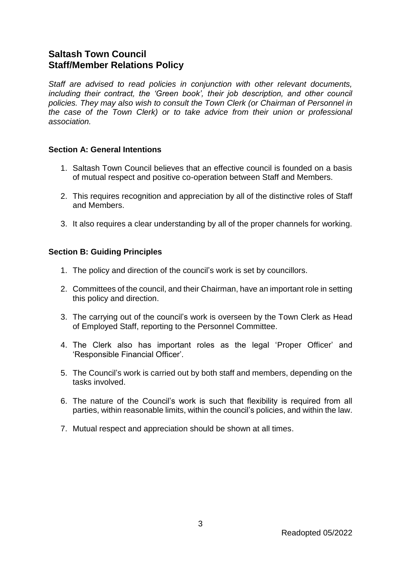## **Saltash Town Council Staff/Member Relations Policy**

*Staff are advised to read policies in conjunction with other relevant documents, including their contract, the 'Green book', their job description, and other council policies. They may also wish to consult the Town Clerk (or Chairman of Personnel in the case of the Town Clerk) or to take advice from their union or professional association.*

#### **Section A: General Intentions**

- 1. Saltash Town Council believes that an effective council is founded on a basis of mutual respect and positive co-operation between Staff and Members.
- 2. This requires recognition and appreciation by all of the distinctive roles of Staff and Members.
- 3. It also requires a clear understanding by all of the proper channels for working.

#### **Section B: Guiding Principles**

- 1. The policy and direction of the council's work is set by councillors.
- 2. Committees of the council, and their Chairman, have an important role in setting this policy and direction.
- 3. The carrying out of the council's work is overseen by the Town Clerk as Head of Employed Staff, reporting to the Personnel Committee.
- 4. The Clerk also has important roles as the legal 'Proper Officer' and 'Responsible Financial Officer'.
- 5. The Council's work is carried out by both staff and members, depending on the tasks involved.
- 6. The nature of the Council's work is such that flexibility is required from all parties, within reasonable limits, within the council's policies, and within the law.
- 7. Mutual respect and appreciation should be shown at all times.